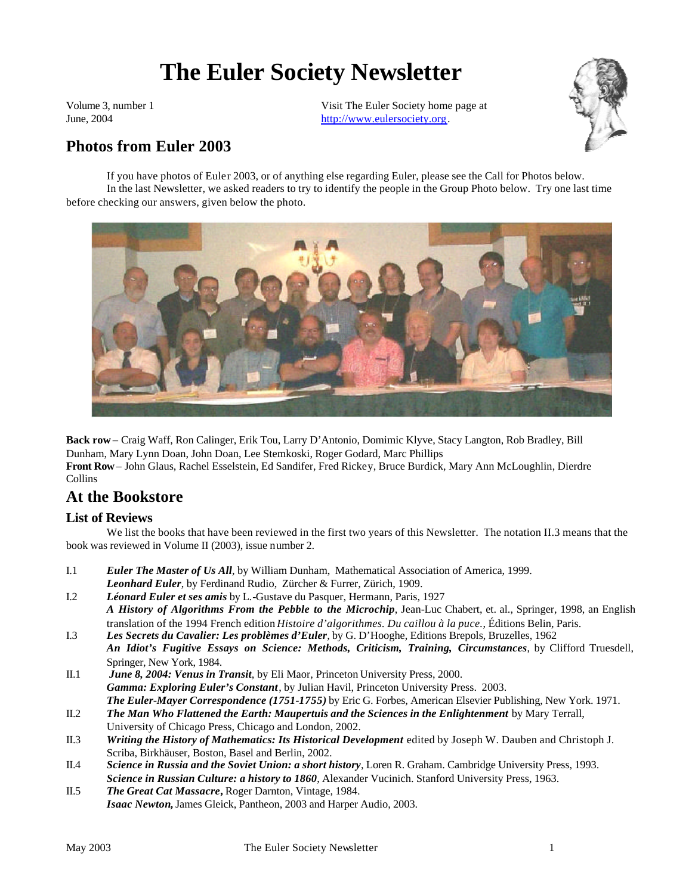# **The Euler Society Newsletter**

Volume 3, number 1 June, 2004

Visit The Euler Society home page at http://www.eulersociety.org.



# **Photos from Euler 2003**

If you have photos of Euler 2003, or of anything else regarding Euler, please see the Call for Photos below. In the last Newsletter, we asked readers to try to identify the people in the Group Photo below. Try one last time before checking our answers, given below the photo.



**Back row** – Craig Waff, Ron Calinger, Erik Tou, Larry D'Antonio, Domimic Klyve, Stacy Langton, Rob Bradley, Bill Dunham, Mary Lynn Doan, John Doan, Lee Stemkoski, Roger Godard, Marc Phillips **Front Row**– John Glaus, Rachel Esselstein, Ed Sandifer, Fred Rickey, Bruce Burdick, Mary Ann McLoughlin, Dierdre Collins

# **At the Bookstore**

#### **List of Reviews**

We list the books that have been reviewed in the first two years of this Newsletter. The notation II.3 means that the book was reviewed in Volume II (2003), issue number 2.

- I.1 *Euler The Master of Us All*, by William Dunham, Mathematical Association of America, 1999. *Leonhard Euler*, by Ferdinand Rudio, Zürcher & Furrer, Zürich, 1909.
- I.2 *Léonard Euler et ses amis* by L.-Gustave du Pasquer, Hermann, Paris, 1927 *A History of Algorithms From the Pebble to the Microchip*, Jean-Luc Chabert, et. al., Springer, 1998, an English translation of the 1994 French edition *Histoire d'algorithmes. Du caillou à la puce.*, Éditions Belin, Paris.
- I.3 *Les Secrets du Cavalier: Les problèmes d'Euler,* by G. D'Hooghe, Editions Brepols, Bruzelles, 1962 *An Idiot's Fugitive Essays on Science: Methods, Criticism, Training, Circumstances*, by Clifford Truesdell, Springer, New York, 1984.
- II.1 *June 8, 2004: Venus in Transit*, by Eli Maor, Princeton University Press, 2000. *Gamma: Exploring Euler's Constant*, by Julian Havil, Princeton University Press. 2003. *The Euler-Mayer Correspondence (1751-1755)* by Eric G. Forbes, American Elsevier Publishing, New York. 1971.
- II.2 *The Man Who Flattened the Earth: Maupertuis and the Sciences in the Enlightenment* by Mary Terrall, University of Chicago Press, Chicago and London, 2002.
- II.3 *Writing the History of Mathematics: Its Historical Development* edited by Joseph W. Dauben and Christoph J. Scriba, Birkhäuser, Boston, Basel and Berlin, 2002.
- II.4 *Science in Russia and the Soviet Union: a short history*, Loren R. Graham. Cambridge University Press, 1993. *Science in Russian Culture: a history to 1860*, Alexander Vucinich. Stanford University Press, 1963.
- II.5 *The Great Cat Massacre***,** Roger Darnton, Vintage, 1984. *Isaac Newton***,** James Gleick, Pantheon, 2003 and Harper Audio, 2003.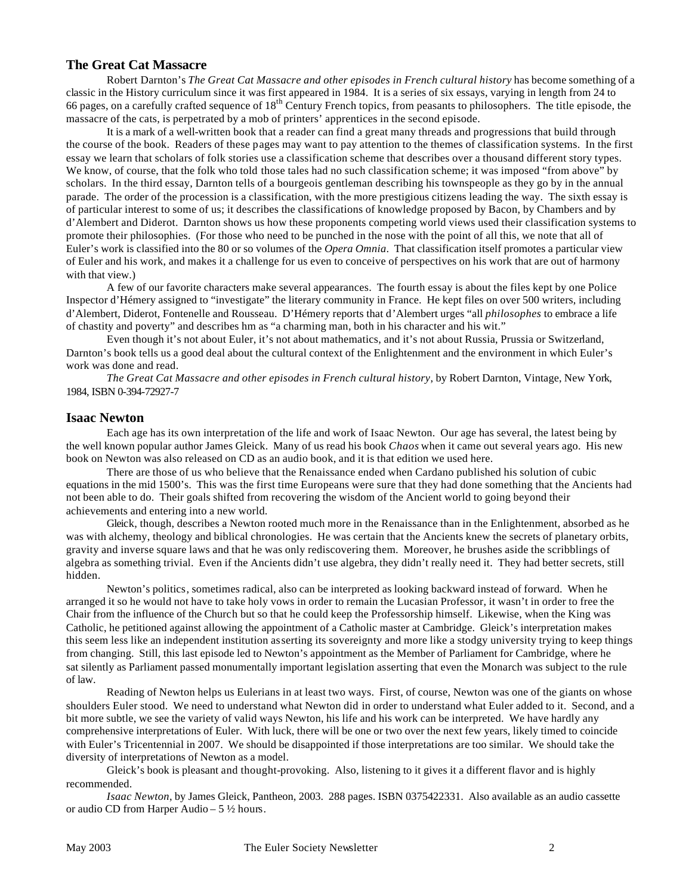#### **The Great Cat Massacre**

Robert Darnton's *The Great Cat Massacre and other episodes in French cultural history* has become something of a classic in the History curriculum since it was first appeared in 1984. It is a series of six essays, varying in length from 24 to 66 pages, on a carefully crafted sequence of  $18<sup>th</sup>$  Century French topics, from peasants to philosophers. The title episode, the massacre of the cats, is perpetrated by a mob of printers' apprentices in the second episode.

It is a mark of a well-written book that a reader can find a great many threads and progressions that build through the course of the book. Readers of these pages may want to pay attention to the themes of classification systems. In the first essay we learn that scholars of folk stories use a classification scheme that describes over a thousand different story types. We know, of course, that the folk who told those tales had no such classification scheme; it was imposed "from above" by scholars. In the third essay, Darnton tells of a bourgeois gentleman describing his townspeople as they go by in the annual parade. The order of the procession is a classification, with the more prestigious citizens leading the way. The sixth essay is of particular interest to some of us; it describes the classifications of knowledge proposed by Bacon, by Chambers and by d'Alembert and Diderot. Darnton shows us how these proponents competing world views used their classification systems to promote their philosophies. (For those who need to be punched in the nose with the point of all this, we note that all of Euler's work is classified into the 80 or so volumes of the *Opera Omnia*. That classification itself promotes a particular view of Euler and his work, and makes it a challenge for us even to conceive of perspectives on his work that are out of harmony with that view.)

A few of our favorite characters make several appearances. The fourth essay is about the files kept by one Police Inspector d'Hémery assigned to "investigate" the literary community in France. He kept files on over 500 writers, including d'Alembert, Diderot, Fontenelle and Rousseau. D'Hémery reports that d'Alembert urges "all *philosophes* to embrace a life of chastity and poverty" and describes hm as "a charming man, both in his character and his wit."

Even though it's not about Euler, it's not about mathematics, and it's not about Russia, Prussia or Switzerland, Darnton's book tells us a good deal about the cultural context of the Enlightenment and the environment in which Euler's work was done and read.

*The Great Cat Massacre and other episodes in French cultural history*, by Robert Darnton, Vintage, New York, 1984, ISBN 0-394-72927-7

#### **Isaac Newton**

Each age has its own interpretation of the life and work of Isaac Newton. Our age has several, the latest being by the well known popular author James Gleick. Many of us read his book *Chaos* when it came out several years ago. His new book on Newton was also released on CD as an audio book, and it is that edition we used here.

There are those of us who believe that the Renaissance ended when Cardano published his solution of cubic equations in the mid 1500's. This was the first time Europeans were sure that they had done something that the Ancients had not been able to do. Their goals shifted from recovering the wisdom of the Ancient world to going beyond their achievements and entering into a new world.

Gleick, though, describes a Newton rooted much more in the Renaissance than in the Enlightenment, absorbed as he was with alchemy, theology and biblical chronologies. He was certain that the Ancients knew the secrets of planetary orbits, gravity and inverse square laws and that he was only rediscovering them. Moreover, he brushes aside the scribblings of algebra as something trivial. Even if the Ancients didn't use algebra, they didn't really need it. They had better secrets, still hidden.

Newton's politics, sometimes radical, also can be interpreted as looking backward instead of forward. When he arranged it so he would not have to take holy vows in order to remain the Lucasian Professor, it wasn't in order to free the Chair from the influence of the Church but so that he could keep the Professorship himself. Likewise, when the King was Catholic, he petitioned against allowing the appointment of a Catholic master at Cambridge. Gleick's interpretation makes this seem less like an independent institution asserting its sovereignty and more like a stodgy university trying to keep things from changing. Still, this last episode led to Newton's appointment as the Member of Parliament for Cambridge, where he sat silently as Parliament passed monumentally important legislation asserting that even the Monarch was subject to the rule of law.

Reading of Newton helps us Eulerians in at least two ways. First, of course, Newton was one of the giants on whose shoulders Euler stood. We need to understand what Newton did in order to understand what Euler added to it. Second, and a bit more subtle, we see the variety of valid ways Newton, his life and his work can be interpreted. We have hardly any comprehensive interpretations of Euler. With luck, there will be one or two over the next few years, likely timed to coincide with Euler's Tricentennial in 2007. We should be disappointed if those interpretations are too similar. We should take the diversity of interpretations of Newton as a model.

Gleick's book is pleasant and thought-provoking. Also, listening to it gives it a different flavor and is highly recommended.

*Isaac Newton*, by James Gleick, Pantheon, 2003. 288 pages. ISBN 0375422331. Also available as an audio cassette or audio CD from Harper Audio – 5 ½ hours.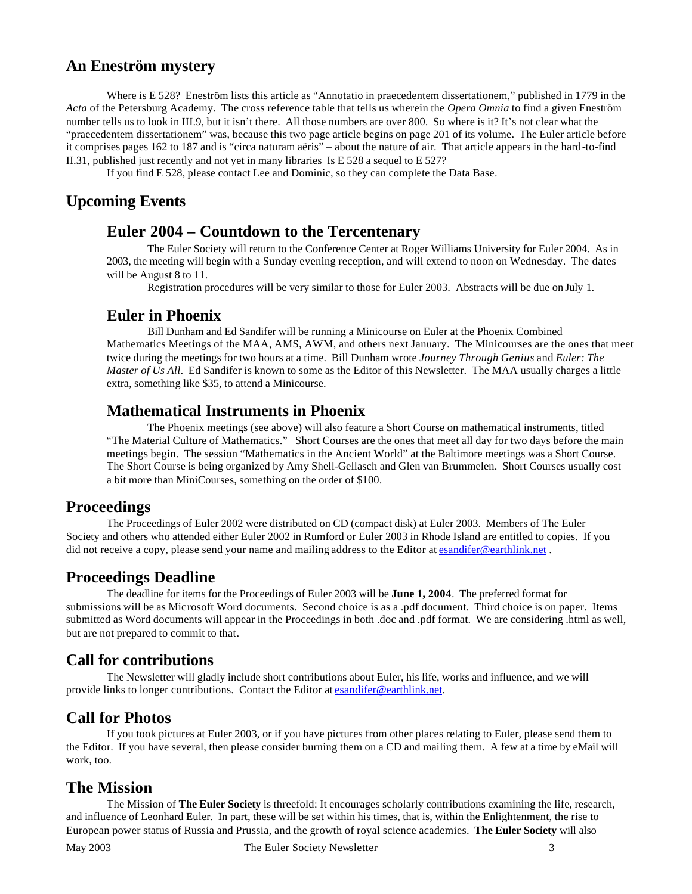## **An Eneström mystery**

Where is E 528? Eneström lists this article as "Annotatio in praecedentem dissertationem," published in 1779 in the *Acta* of the Petersburg Academy. The cross reference table that tells us wherein the *Opera Omnia* to find a given Eneström number tells us to look in III.9, but it isn't there. All those numbers are over 800. So where is it? It's not clear what the "praecedentem dissertationem" was, because this two page article begins on page 201 of its volume. The Euler article before it comprises pages 162 to 187 and is "circa naturam aëris" – about the nature of air. That article appears in the hard-to-find II.31, published just recently and not yet in many libraries Is E 528 a sequel to E 527?

If you find E 528, please contact Lee and Dominic, so they can complete the Data Base.

# **Upcoming Events**

## **Euler 2004 – Countdown to the Tercentenary**

The Euler Society will return to the Conference Center at Roger Williams University for Euler 2004. As in 2003, the meeting will begin with a Sunday evening reception, and will extend to noon on Wednesday. The dates will be August 8 to 11.

Registration procedures will be very similar to those for Euler 2003. Abstracts will be due on July 1.

## **Euler in Phoenix**

Bill Dunham and Ed Sandifer will be running a Minicourse on Euler at the Phoenix Combined Mathematics Meetings of the MAA, AMS, AWM, and others next January. The Minicourses are the ones that meet twice during the meetings for two hours at a time. Bill Dunham wrote *Journey Through Genius* and *Euler: The Master of Us All*. Ed Sandifer is known to some as the Editor of this Newsletter. The MAA usually charges a little extra, something like \$35, to attend a Minicourse.

## **Mathematical Instruments in Phoenix**

The Phoenix meetings (see above) will also feature a Short Course on mathematical instruments, titled "The Material Culture of Mathematics." Short Courses are the ones that meet all day for two days before the main meetings begin. The session "Mathematics in the Ancient World" at the Baltimore meetings was a Short Course. The Short Course is being organized by Amy Shell-Gellasch and Glen van Brummelen. Short Courses usually cost a bit more than MiniCourses, something on the order of \$100.

#### **Proceedings**

The Proceedings of Euler 2002 were distributed on CD (compact disk) at Euler 2003. Members of The Euler Society and others who attended either Euler 2002 in Rumford or Euler 2003 in Rhode Island are entitled to copies. If you did not receive a copy, please send your name and mailing address to the Editor at esandifer@earthlink.net.

#### **Proceedings Deadline**

The deadline for items for the Proceedings of Euler 2003 will be **June 1, 2004**. The preferred format for submissions will be as Microsoft Word documents. Second choice is as a .pdf document. Third choice is on paper. Items submitted as Word documents will appear in the Proceedings in both .doc and .pdf format. We are considering .html as well, but are not prepared to commit to that.

# **Call for contributions**

The Newsletter will gladly include short contributions about Euler, his life, works and influence, and we will provide links to longer contributions. Contact the Editor at esandifer@earthlink.net.

# **Call for Photos**

If you took pictures at Euler 2003, or if you have pictures from other places relating to Euler, please send them to the Editor. If you have several, then please consider burning them on a CD and mailing them. A few at a time by eMail will work, too.

# **The Mission**

The Mission of **The Euler Society** is threefold: It encourages scholarly contributions examining the life, research, and influence of Leonhard Euler. In part, these will be set within his times, that is, within the Enlightenment, the rise to European power status of Russia and Prussia, and the growth of royal science academies. **The Euler Society** will also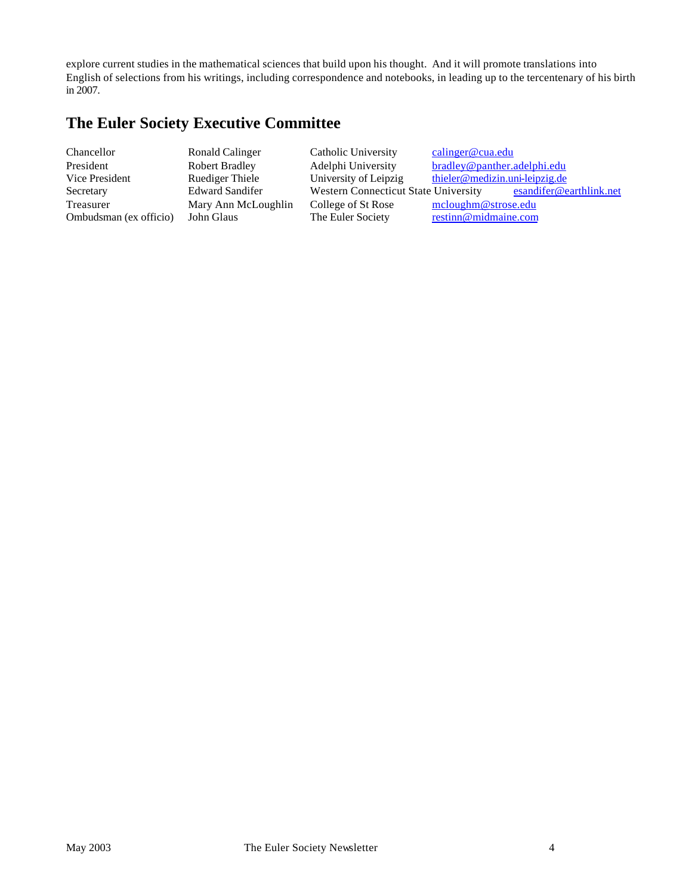explore current studies in the mathematical sciences that build upon his thought. And it will promote translations into English of selections from his writings, including correspondence and notebooks, in leading up to the tercentenary of his birth in 2007.

# **The Euler Society Executive Committee**

Ombudsman (ex officio) John Glaus The Euler Society

Chancellor Ronald Calinger Catholic University calinger@cua.edu President Robert Bradley Adelphi University bradley@panther.adelphi.edu<br>Vice President Ruediger Thiele University of Leipzig thieler@medizin.uni-leipzig.de Vice President Ruediger Thiele University of Leipzig thieler@medizin.uni-leipzig.de Secretary Edward Sandifer Western Connecticut State University esandifer @earthlink.net Treasurer Mary Ann McLoughlin College of St Rose mcloughm@strose.edu<br>
Ombudsman (ex officio) John Glaus The Euler Society restinn@midmaine.com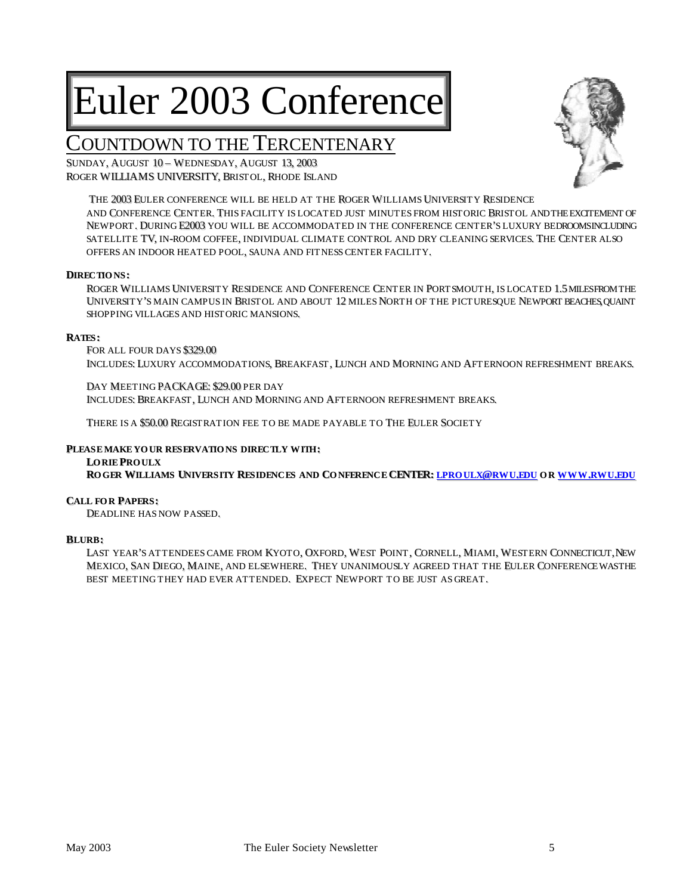# Euler 2003 Conference

# COUNTDOWN TO THE TERCENTENARY

SUNDAY, AUGUST 10 - WEDNESDAY, AUGUST 13, 2003 ROGER WILLIAMS UNIVERSITY, BRISTOL, RHODE ISLAND



THE 2003 EULER CONFERENCE WILL BE HELD AT THE ROGER WILLIAMS UNIVERSITY RESIDENCE AND CONFERENCE CENTER.. THIS FACILITY IS LOCATED JUST MINUTES FROM HISTORIC BRISTOL ANDTHEEXCITEMENT OF NEWPORT. DURING E2003 YOU WILL BE ACCOMMODATED IN THE CONFERENCE CENTER'S LUXURY BEDROOMSINCLUDING SATELLITE TV, IN-ROOM COFFEE, INDIVIDUAL CLIMATE CONTROL AND DRY CLEANING SERVICES. THE CENTER ALSO OFFERS AN INDOOR HEATED POOL, SAUNA AND FITNESS CENTER FACILITY.

#### **DIRECTIONS :**

ROGER WILLIAMS UNIVERSITY RESIDENCE AND CONFERENCE CENTER IN PORTSMOUTH, IS LOCATED 1.5 MILESFROM THE UNIVERSITY'S MAIN CAMPUS IN BRISTOL AND ABOUT 12 MILES NORTH OF THE PICTURESQUE NEWPORT BEACHES, QUAINT SHOPPING VILLAGES AND HISTORIC MANSIONS..

#### **RATES :**

FOR ALL FOUR DAYS \$329.00 INCLUDES: LUXURY ACCOMMODATIONS, BREAKFAST, LUNCH AND MORNING AND AFTERNOON REFRESHMENT BREAKS.

DAY MEETING PACKAGE: \$29.00 PER DAY INCLUDES: BREAKFAST, LUNCH AND MORNING AND AFTERNOON REFRESHMENT BREAKS.

THERE IS A \$50.00 REGISTRATION FEE TO BE MADE PAYABLE TO THE EULER SOCIETY

#### **PLEASEMAKE YOUR RESERVATIONS DIRECTLY WITH:**

**LORIE PROULX** ROGER WILLIAMS UNIVERSITY RESIDENCES AND CONFERENCE CENTER; LPROULX@RWU,EDU OR WWW,RWU,EDU

#### **CALL FOR PAPERS :**

DEADLINE HAS NOW PASSED..

#### **BLURB:**

LAST YEAR'S ATTENDEES CAME FROM KYOTO, OXFORD, WEST POINT, CORNELL, MIAMI, WESTERN CONNECTICUT, NEW MEXICO, SAN DIEGO, MAINE, AND ELSEWHERE. THEY UNANIMOUSLY AGREED THAT THE EULER CONFERENCE WASTHE BEST MEETING THEY HAD EVER ATTENDED. EXPECT NEWPORT TO BE JUST AS GREAT.